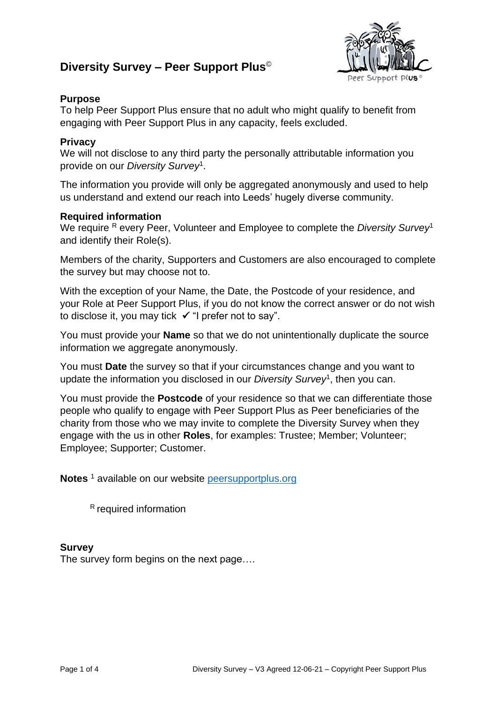# **Diversity Survey – Peer Support Plus**©



## **Purpose**

To help Peer Support Plus ensure that no adult who might qualify to benefit from engaging with Peer Support Plus in any capacity, feels excluded.

### **Privacy**

We will not disclose to any third party the personally attributable information you provide on our *Diversity Survey*<sup>1</sup> .

The information you provide will only be aggregated anonymously and used to help us understand and extend our reach into Leeds' hugely diverse community.

#### **Required information**

We require R every Peer, Volunteer and Employee to complete the *Diversity Survey*<sup>1</sup> and identify their Role(s).

Members of the charity, Supporters and Customers are also encouraged to complete the survey but may choose not to.

With the exception of your Name, the Date, the Postcode of your residence, and your Role at Peer Support Plus, if you do not know the correct answer or do not wish to disclose it, you may tick ✓ "I prefer not to say".

You must provide your **Name** so that we do not unintentionally duplicate the source information we aggregate anonymously.

You must **Date** the survey so that if your circumstances change and you want to update the information you disclosed in our *Diversity Survey*<sup>1</sup> , then you can.

You must provide the **Postcode** of your residence so that we can differentiate those people who qualify to engage with Peer Support Plus as Peer beneficiaries of the charity from those who we may invite to complete the Diversity Survey when they engage with the us in other **Roles**, for examples: Trustee; Member; Volunteer; Employee; Supporter; Customer.

Notes<sup>1</sup> available on our website [peersupportplus.org](http://www.peersupportplus.org/)

<sup>R</sup> required information

#### **Survey**

The survey form begins on the next page….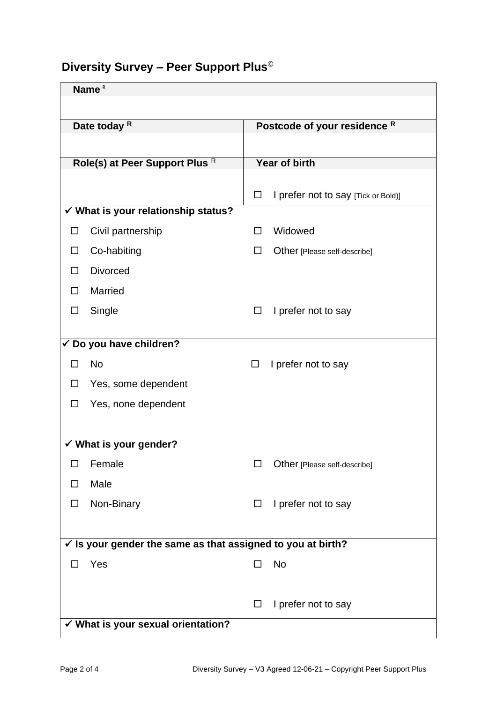# **Diversity Survey – Peer Support Plus**©

| Date today <sup>R</sup><br>Postcode of your residence R<br>Year of birth<br>Role(s) at Peer Support Plus R<br>I prefer not to say [Tick or Bold)]<br>□<br>✔ What is your relationship status?<br>Civil partnership<br>Widowed<br>$\Box$<br>Co-habiting<br>Other [Please self-describe]<br>□<br><b>Divorced</b><br>П<br><b>Married</b><br>□<br>Single<br>I prefer not to say<br>$\Box$<br>□ | Name <sup>R</sup> |  |  |  |  |  |  |  |
|--------------------------------------------------------------------------------------------------------------------------------------------------------------------------------------------------------------------------------------------------------------------------------------------------------------------------------------------------------------------------------------------|-------------------|--|--|--|--|--|--|--|
|                                                                                                                                                                                                                                                                                                                                                                                            |                   |  |  |  |  |  |  |  |
|                                                                                                                                                                                                                                                                                                                                                                                            |                   |  |  |  |  |  |  |  |
|                                                                                                                                                                                                                                                                                                                                                                                            |                   |  |  |  |  |  |  |  |
|                                                                                                                                                                                                                                                                                                                                                                                            |                   |  |  |  |  |  |  |  |
|                                                                                                                                                                                                                                                                                                                                                                                            |                   |  |  |  |  |  |  |  |
|                                                                                                                                                                                                                                                                                                                                                                                            |                   |  |  |  |  |  |  |  |
|                                                                                                                                                                                                                                                                                                                                                                                            |                   |  |  |  |  |  |  |  |
|                                                                                                                                                                                                                                                                                                                                                                                            |                   |  |  |  |  |  |  |  |
|                                                                                                                                                                                                                                                                                                                                                                                            |                   |  |  |  |  |  |  |  |
|                                                                                                                                                                                                                                                                                                                                                                                            |                   |  |  |  |  |  |  |  |
|                                                                                                                                                                                                                                                                                                                                                                                            |                   |  |  |  |  |  |  |  |
|                                                                                                                                                                                                                                                                                                                                                                                            |                   |  |  |  |  |  |  |  |
| √ Do you have children?                                                                                                                                                                                                                                                                                                                                                                    |                   |  |  |  |  |  |  |  |
| <b>No</b><br>I prefer not to say<br>П<br>□                                                                                                                                                                                                                                                                                                                                                 |                   |  |  |  |  |  |  |  |
| Yes, some dependent<br>$\Box$                                                                                                                                                                                                                                                                                                                                                              |                   |  |  |  |  |  |  |  |
| Yes, none dependent<br>□                                                                                                                                                                                                                                                                                                                                                                   |                   |  |  |  |  |  |  |  |
|                                                                                                                                                                                                                                                                                                                                                                                            |                   |  |  |  |  |  |  |  |
| $\checkmark$ What is your gender?                                                                                                                                                                                                                                                                                                                                                          |                   |  |  |  |  |  |  |  |
| Female<br>Other [Please self-describe]<br>П                                                                                                                                                                                                                                                                                                                                                |                   |  |  |  |  |  |  |  |
| Male<br>□                                                                                                                                                                                                                                                                                                                                                                                  |                   |  |  |  |  |  |  |  |
| Non-Binary<br>I prefer not to say<br>□<br>□                                                                                                                                                                                                                                                                                                                                                |                   |  |  |  |  |  |  |  |
|                                                                                                                                                                                                                                                                                                                                                                                            |                   |  |  |  |  |  |  |  |
| $\checkmark$ Is your gender the same as that assigned to you at birth?                                                                                                                                                                                                                                                                                                                     |                   |  |  |  |  |  |  |  |
| No<br>Yes<br>$\perp$                                                                                                                                                                                                                                                                                                                                                                       |                   |  |  |  |  |  |  |  |
|                                                                                                                                                                                                                                                                                                                                                                                            |                   |  |  |  |  |  |  |  |
| I prefer not to say<br>ப                                                                                                                                                                                                                                                                                                                                                                   |                   |  |  |  |  |  |  |  |
| √ What is your sexual orientation?                                                                                                                                                                                                                                                                                                                                                         |                   |  |  |  |  |  |  |  |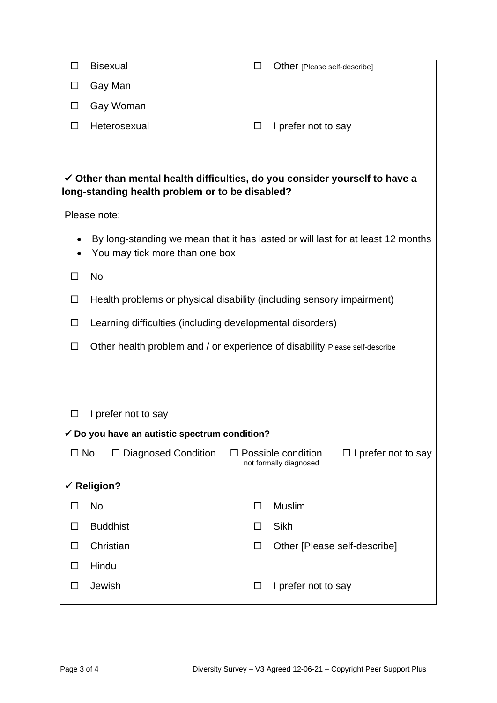|                                                                                                                                           | <b>Bisexual</b>                                                             |        | Other [Please self-describe] |  |  |  |  |
|-------------------------------------------------------------------------------------------------------------------------------------------|-----------------------------------------------------------------------------|--------|------------------------------|--|--|--|--|
|                                                                                                                                           | Gay Man                                                                     |        |                              |  |  |  |  |
|                                                                                                                                           | Gay Woman                                                                   |        |                              |  |  |  |  |
| ΙI                                                                                                                                        | Heterosexual                                                                | $\Box$ | I prefer not to say          |  |  |  |  |
|                                                                                                                                           |                                                                             |        |                              |  |  |  |  |
| $\checkmark$ Other than mental health difficulties, do you consider yourself to have a<br>long-standing health problem or to be disabled? |                                                                             |        |                              |  |  |  |  |
| Please note:                                                                                                                              |                                                                             |        |                              |  |  |  |  |
| By long-standing we mean that it has lasted or will last for at least 12 months<br>You may tick more than one box                         |                                                                             |        |                              |  |  |  |  |
|                                                                                                                                           | No                                                                          |        |                              |  |  |  |  |
| ⊔                                                                                                                                         | Health problems or physical disability (including sensory impairment)       |        |                              |  |  |  |  |
| ப                                                                                                                                         | Learning difficulties (including developmental disorders)                   |        |                              |  |  |  |  |
|                                                                                                                                           | Other health problem and / or experience of disability Please self-describe |        |                              |  |  |  |  |
|                                                                                                                                           |                                                                             |        |                              |  |  |  |  |
|                                                                                                                                           |                                                                             |        |                              |  |  |  |  |
|                                                                                                                                           | I prefer not to say                                                         |        |                              |  |  |  |  |
| $\checkmark$ Do you have an autistic spectrum condition?                                                                                  |                                                                             |        |                              |  |  |  |  |
| $\square$ No<br>$\Box$ Diagnosed Condition<br>$\Box$ Possible condition<br>$\Box$ I prefer not to say<br>not formally diagnosed           |                                                                             |        |                              |  |  |  |  |
| $\checkmark$ Religion?                                                                                                                    |                                                                             |        |                              |  |  |  |  |
|                                                                                                                                           | No                                                                          | ΙI     | <b>Muslim</b>                |  |  |  |  |
| ΙI                                                                                                                                        | <b>Buddhist</b>                                                             | ப      | Sikh                         |  |  |  |  |
| ΙI                                                                                                                                        | Christian                                                                   |        | Other [Please self-describe] |  |  |  |  |
| ΙI                                                                                                                                        | Hindu                                                                       |        |                              |  |  |  |  |
| ĪΙ                                                                                                                                        | Jewish                                                                      | □      | I prefer not to say          |  |  |  |  |